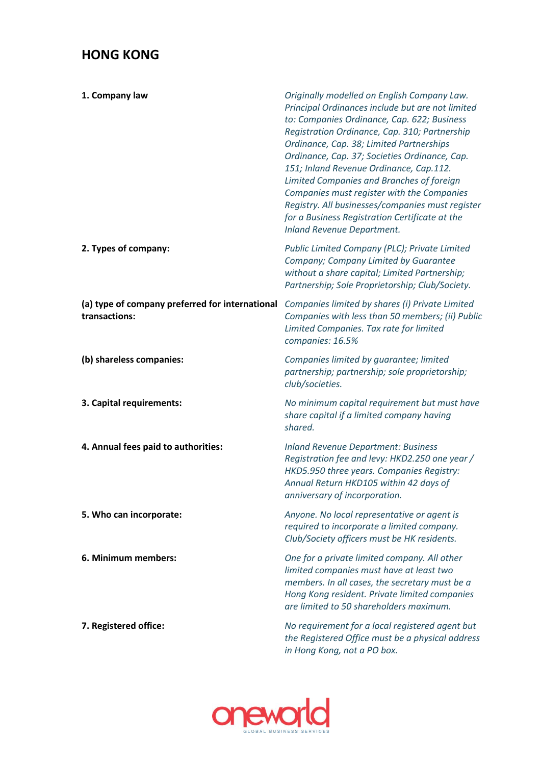## **HONG KONG**

| 1. Company law                                                   | Originally modelled on English Company Law.<br>Principal Ordinances include but are not limited<br>to: Companies Ordinance, Cap. 622; Business<br>Registration Ordinance, Cap. 310; Partnership<br>Ordinance, Cap. 38; Limited Partnerships<br>Ordinance, Cap. 37; Societies Ordinance, Cap.<br>151; Inland Revenue Ordinance, Cap.112.<br>Limited Companies and Branches of foreign<br>Companies must register with the Companies<br>Registry. All businesses/companies must register<br>for a Business Registration Certificate at the<br><b>Inland Revenue Department.</b> |
|------------------------------------------------------------------|-------------------------------------------------------------------------------------------------------------------------------------------------------------------------------------------------------------------------------------------------------------------------------------------------------------------------------------------------------------------------------------------------------------------------------------------------------------------------------------------------------------------------------------------------------------------------------|
| 2. Types of company:                                             | Public Limited Company (PLC); Private Limited<br>Company; Company Limited by Guarantee<br>without a share capital; Limited Partnership;<br>Partnership; Sole Proprietorship; Club/Society.                                                                                                                                                                                                                                                                                                                                                                                    |
| (a) type of company preferred for international<br>transactions: | Companies limited by shares (i) Private Limited<br>Companies with less than 50 members; (ii) Public<br>Limited Companies. Tax rate for limited<br>companies: 16.5%                                                                                                                                                                                                                                                                                                                                                                                                            |
| (b) shareless companies:                                         | Companies limited by guarantee; limited<br>partnership; partnership; sole proprietorship;<br>club/societies.                                                                                                                                                                                                                                                                                                                                                                                                                                                                  |
| 3. Capital requirements:                                         | No minimum capital requirement but must have<br>share capital if a limited company having<br>shared.                                                                                                                                                                                                                                                                                                                                                                                                                                                                          |
| 4. Annual fees paid to authorities:                              | <b>Inland Revenue Department: Business</b><br>Registration fee and levy: HKD2.250 one year /<br>HKD5.950 three years. Companies Registry:<br>Annual Return HKD105 within 42 days of<br>anniversary of incorporation.                                                                                                                                                                                                                                                                                                                                                          |
| 5. Who can incorporate:                                          | Anyone. No local representative or agent is<br>required to incorporate a limited company.<br>Club/Society officers must be HK residents.                                                                                                                                                                                                                                                                                                                                                                                                                                      |
| 6. Minimum members:                                              | One for a private limited company. All other<br>limited companies must have at least two<br>members. In all cases, the secretary must be a<br>Hong Kong resident. Private limited companies<br>are limited to 50 shareholders maximum.                                                                                                                                                                                                                                                                                                                                        |
| 7. Registered office:                                            | No requirement for a local registered agent but<br>the Registered Office must be a physical address<br>in Hong Kong, not a PO box.                                                                                                                                                                                                                                                                                                                                                                                                                                            |